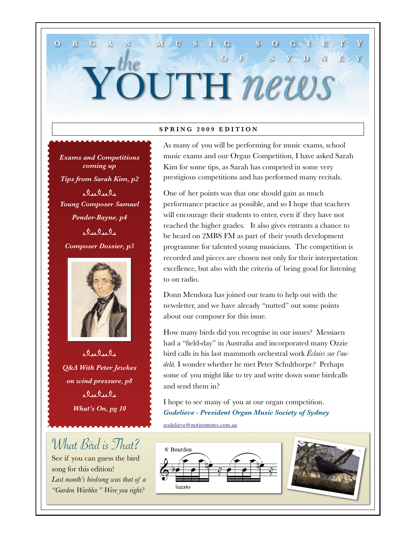#### **SPRING 2009 EDITION**

YOUTH *news*

**ORGAN MUSIC SOCIETY**

*Exams and Competitions coming up Tips from Sarah Kim, p2* delele *Young Composer Samuel Pender-Bayne, p4* delel, *Composer Dossier, p5*

the



 $\dot{\Omega}_{16} \dot{\Omega}_{16} \dot{\Omega}_{1}$ *Q&A With Peter Jewkes on wind pressure, p8* elselsle *What's On, pg 10* 

### What Bird is That?

See if you can guess the bird song for this edition! *Last month's birdsong was that of a "Garden Warbler." Were you right?*

As many of you will be performing for music exams, school music exams and our Organ Competition, I have asked Sarah Kim for some tips, as Sarah has competed in some very prestigious competitions and has performed many recitals.

**OF SYDNEY**

One of her points was that one should gain as much performance practice as possible, and so I hope that teachers will encourage their students to enter, even if they have not reached the higher grades. It also gives entrants a chance to be heard on 2MBS FM as part of their youth development programme for talented young musicians. The competition is recorded and pieces are chosen not only for their interpretation excellence, but also with the criteria of being good for listening to on radio.

Donn Mendoza has joined our team to help out with the newsletter, and we have already "nutted" out some points about our composer for this issue.

How many birds did you recognise in our issues? Messiaen had a "field-day" in Australia and incorporated many Ozzie bird calls in his last mammoth orchestral work *Éclairs sur l'audelà.* I wonder whether he met Peter Schulthorpe? Perhaps some of you might like to try and write down some birdcalls and send them in?

I hope to see many of you at our organ competition. *Godelieve - President Organ Music Society of Sydney*

godelieve@notjustnotes.com.au



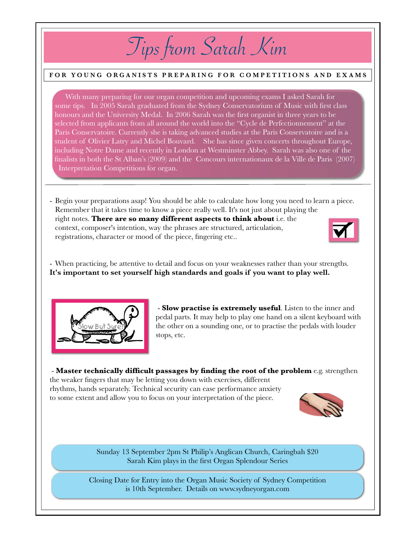# Tips from Sarah Kim

#### **FOR YOUNG ORGANISTS PREPARING FOR COMPETITIONS AND EXAMS**

With many preparing for our organ competition and upcoming exams I asked Sarah for some tips. In 2005 Sarah graduated from the Sydney Conservatorium of Music with first class honours and the University Medal. In 2006 Sarah was the first organist in three years to be selected from applicants from all around the world into the "Cycle de Perfectionnement" at the Paris Conservatoire. Currently she is taking advanced studies at the Paris Conservatoire and is a student of Olivier Latry and Michel Bouvard. She has since given concerts throughout Europe, including Notre Dame and recently in London at Westminster Abbey. Sarah was also one of the finalists in both the St Alban's (2009) and the Concours internationaux de la Ville de Paris (2007) Interpretation Competitions for organ.

- Begin your preparations asap! You should be able to calculate how long you need to learn a piece. Remember that it takes time to know a piece really well. It's not just about playing the right notes. **There are so many different aspects to think about** i.e. the context, composer's intention, way the phrases are structured, articulation, registrations, character or mood of the piece, fingering etc..



- When practicing, be attentive to detail and focus on your weaknesses rather than your strengths. **It's important to set yourself high standards and goals if you want to play well.**



 - **Slow practise is extremely useful**. Listen to the inner and pedal parts. It may help to play one hand on a silent keyboard with the other on a sounding one, or to practise the pedals with louder stops, etc.

 - **Master technically difficult passages by finding the root of the problem** e.g. strengthen the weaker fingers that may be letting you down with exercises, different rhythms, hands separately. Technical security can ease performance anxiety to some extent and allow you to focus on your interpretation of the piece.



Sunday 13 September 2pm St Philip's Anglican Church, Caringbah \$20 Sarah Kim plays in the first Organ Splendour Series

Closing Date for Entry into the Organ Music Society of Sydney Competition is 10th September. Details on www.sydneyorgan.com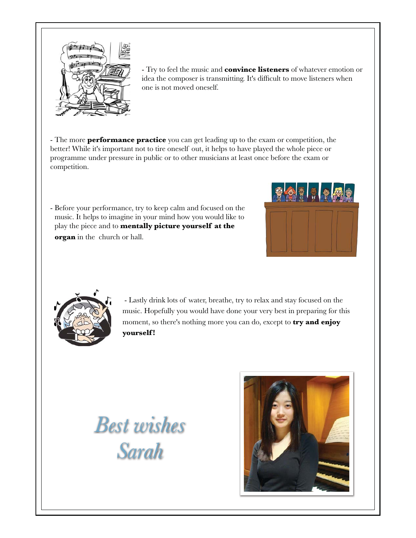

- Try to feel the music and **convince listeners** of whatever emotion or idea the composer is transmitting. It's difficult to move listeners when one is not moved-oneself.

- The more **performance practice** you can get leading up to the exam or competition, the better! While it's important not to tire oneself out, it helps to have played the whole piece or programme-under pressure in public or to other musicians at least once before the exam or competition.

- Before your performance, try to keep calm and focused on the music. It helps to imagine in your-mind-how-you would like to play the-piece and to **mentally picture-yourself at the organ** in the church or hall.-





 - Lastly drink lots of water, breathe, try to relax and stay focused on the music.-Hopefully you would have done-your very best-in preparing for this moment, so there's nothing more you can do, except to **try and enjoy yourself !-**

*Best wishes Sarah*

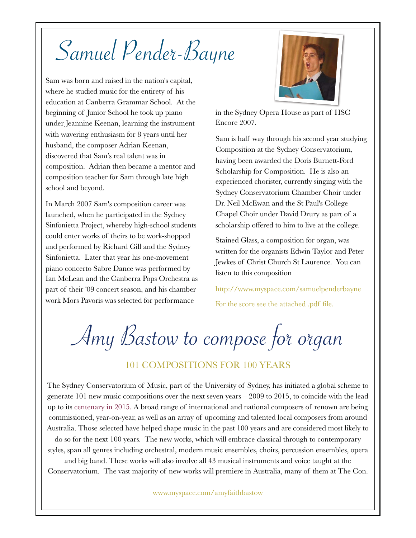# Samuel Pender-Bayne

Sam was born and raised in the nation's capital, where he studied music for the entirety of his education at Canberra Grammar School.- At the beginning of Junior School he took up piano under Jeannine Keenan, learning the instrument with wavering enthusiasm for 8 years until her husband, the composer Adrian Keenan, discovered that Sam's real talent was in composition.- Adrian then became a mentor and composition teacher for Sam through late high school and beyond.

In March 2007 Sam's composition career was launched, when he participated in the Sydney Sinfonietta Project, whereby high-school students could enter works of theirs to be work-shopped and performed by Richard Gill and the Sydney Sinfonietta. Later that year his one-movement piano concerto Sabre Dance was performed by Ian McLean and the Canberra Pops Orchestra as part of their '09 concert season, and his chamber work Mors Pavoris was selected for performance



in the Sydney Opera House as part of HSC Encore 2007.

Sam is half way through his second year studying Composition at the Sydney Conservatorium, having been awarded the Doris Burnett-Ford Scholarship for Composition.- He is also an experienced chorister, currently singing with the Sydney Conservatorium Chamber Choir under Dr. Neil McEwan and the St Paul's College Chapel Choir under David Drury as part of a scholarship offered to him to live at the college.

Stained Glass, a composition for organ, was written for the organists Edwin Taylor and Peter Jewkes of Christ Church St Laurence. You can listen to this composition

http://www.myspace.com/samuelpenderbayne For the score see the attached .pdf file.

Amy Bastow to compose for organ

### 101 COMPOSITIONS FOR 100 YEARS

The Sydney Conservatorium of Music, part of the University of Sydney, has initiated a global scheme to generate 101 new music compositions over the next seven years – 2009 to 2015, to coincide with the lead up to its centenary in 2015. A broad range of international and national composers of renown are being commissioned, year-on-year, as well as an array of upcoming and talented local composers from around Australia. Those selected have helped shape music in the past 100 years and are considered most likely to

do so for the next 100 years. The new works, which will embrace classical through to contemporary styles, span all genres including orchestral, modern music ensembles, choirs, percussion ensembles, opera

and big band. These works will also involve all 43 musical instruments and voice taught at the Conservatorium. The vast majority of new works will premiere in Australia, many of them at The Con.

www.myspace.com/amyfaithbastow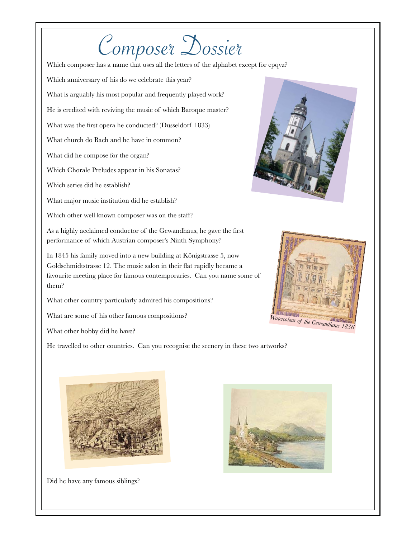# Composer Dossier

Which composer has a name that uses all the letters of the alphabet except for cpqvz?

Which anniversary of his do we celebrate this year?

What is arguably his most popular and frequently played work?

He is credited with reviving the music of which Baroque master?

What was the first opera he conducted? (Dusseldorf 1833)

What church do Bach and he have in common?

What did he compose for the organ?

Which Chorale Preludes appear in his Sonatas?

Which series did he establish?

What major music institution did he establish?

Which other well known composer was on the staff?

As a highly acclaimed conductor of the Gewandhaus, he gave the first performance of which Austrian composer's Ninth Symphony?

In 1845 his family moved into a new building at Königstrasse 5, now Goldschmidtstrasse 12. The music salon in their flat rapidly became a favourite meeting place for famous contemporaries. Can you name some of them?

What other country particularly admired his compositions?

What are some of his other famous compositions?

What other hobby did he have?

He travelled to other countries. Can you recognise the scenery in these two artworks?







Did he have any famous siblings?

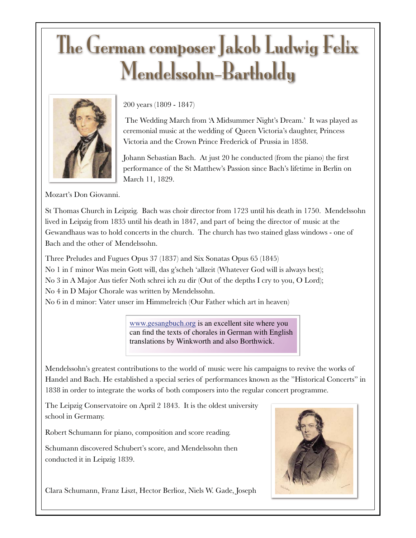# The German composer Jakob Ludwig Felix Mendelssohn-Bartholdy



200 years (1809 - 1847)

 The Wedding March from 'A Midsummer Night's Dream.' It was played as ceremonial music at the wedding of Queen Victoria's daughter, Princess Victoria and the Crown Prince Frederick of Prussia in 1858.

Johann Sebastian Bach. At just 20 he conducted (from the piano) the first performance of the St Matthew's Passion since Bach's lifetime in Berlin on March 11, 1829.

Mozart's Don Giovanni.

St Thomas Church in Leipzig. Bach was choir director from 1723 until his death in 1750. Mendelssohn lived in Leipzig from 1835 until his death in 1847, and part of being the director of music at the Gewandhaus was to hold concerts in the church. The church has two stained glass windows - one of Bach and the other of Mendelssohn.

Three Preludes and Fugues Opus 37 (1837) and Six Sonatas Opus 65 (1845)

No 1 in f minor Was mein Gott will, das g'scheh 'allzeit (Whatever God will is always best); No 3 in A Major Aus tiefer Noth schrei ich zu dir (Out of the depths I cry to you, O Lord);

No 4 in D Major Chorale was written by Mendelssohn.

No 6 in d minor: Vater unser im Himmelreich (Our Father which art in heaven)

www.gesangbuch.org is an excellent site where you can find the texts of chorales in German with English translations by Winkworth and also Borthwick.

Mendelssohn's greatest contributions to the world of music were his campaigns to revive the works of Handel and Bach. He established a special series of performances known as the "Historical Concerts" in 1838 in order to integrate the works of both composers into the regular concert programme.

The Leipzig Conservatoire on April 2 1843. It is the oldest university school in Germany.

Robert Schumann for piano, composition and score reading.

Schumann discovered Schubert's score, and Mendelssohn then conducted it in Leipzig 1839.



Clara Schumann, Franz Liszt, Hector Berlioz, Niels W. Gade, Joseph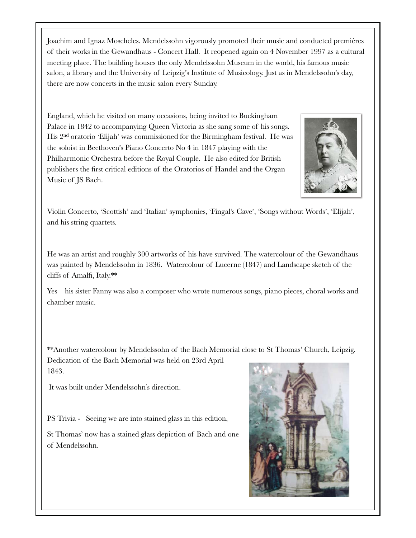Joachim and Ignaz Moscheles. Mendelssohn vigorously promoted their music and conducted premières of their works in the Gewandhaus - Concert Hall. It reopened again on 4 November 1997 as a cultural meeting place. The building houses the only Mendelssohn Museum in the world, his famous music salon, a library and the University of Leipzig's Institute of Musicology. Just as in Mendelssohn's day, there are now concerts in the music salon every Sunday.

England, which he visited on many occasions, being invited to Buckingham Palace in 1842 to accompanying Queen Victoria as she sang some of his songs. His 2nd oratorio 'Elijah' was commissioned for the Birmingham festival. He was the soloist in Beethoven's Piano Concerto No 4 in 1847 playing with the Philharmonic Orchestra before the Royal Couple. He also edited for British publishers the first critical editions of the Oratorios of Handel and the Organ Music of JS Bach.



Violin Concerto, 'Scottish' and 'Italian' symphonies, 'Fingal's Cave', 'Songs without Words', 'Elijah', and his string quartets.

He was an artist and roughly 300 artworks of his have survived. The watercolour of the Gewandhaus was painted by Mendelssohn in 1836. Watercolour of Lucerne (1847) and Landscape sketch of the cliffs of Amalfi, Italy.\*\*

Yes – his sister Fanny was also a composer who wrote numerous songs, piano pieces, choral works and chamber music.

\*\*Another watercolour by Mendelssohn of the Bach Memorial close to St Thomas' Church, Leipzig. Dedication of the Bach Memorial was held on 23rd April 1843.

It was built under Mendelssohn's direction.

PS Trivia - Seeing we are into stained glass in this edition,

St Thomas' now has a stained glass depiction of Bach and one of Mendelssohn.

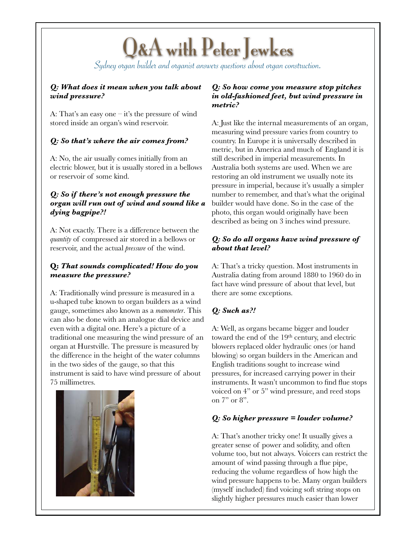## Q&A with Peter Jewkes

Sydney organ builder and organist answers questions about organ construction.

#### *Q: What does it mean when you talk about wind pressure?*

A: That's an easy one – it's the pressure of wind stored inside an organ's wind reservoir.

#### *Q: So that's where the air comes from?*

A: No, the air usually comes initially from an electric blower, but it is usually stored in a bellows or reservoir of some kind.

#### *Q: So if there's not enough pressure the organ will run out of wind and sound like a dying bagpipe?!*

A: Not exactly. There is a difference between the *quantity* of compressed air stored in a bellows or reservoir, and the actual *pressure* of the wind.

#### **Q:** *That sounds complicated! How do you measure the pressure?*

A: Traditionally wind pressure is measured in a u-shaped tube known to organ builders as a wind gauge, sometimes also known as a *manometer*. This can also be done with an analogue dial device and even with a digital one. Here's a picture of a traditional one measuring the wind pressure of an organ at Hurstville. The pressure is measured by the difference in the height of the water columns in the two sides of the gauge, so that this instrument is said to have wind pressure of about 75 millimetres.



#### *Q: So how come you measure stop pitches in old-fashioned feet, but wind pressure in metric?*

A: Just like the internal measurements of an organ, measuring wind pressure varies from country to country. In Europe it is universally described in metric, but in America and much of England it is still described in imperial measurements. In Australia both systems are used. When we are restoring an old instrument we usually note its pressure in imperial, because it's usually a simpler number to remember, and that's what the original builder would have done. So in the case of the photo, this organ would originally have been described as being on 3 inches wind pressure.

#### *Q: So do all organs have wind pressure of about that level?*

A: That's a tricky question. Most instruments in Australia dating from around 1880 to 1960 do in fact have wind pressure of about that level, but there are some exceptions.

### *Q: Such as?!*

A: Well, as organs became bigger and louder toward the end of the 19<sup>th</sup> century, and electric blowers replaced older hydraulic ones (or hand blowing) so organ builders in the American and English traditions sought to increase wind pressures, for increased carrying power in their instruments. It wasn't uncommon to find flue stops voiced on 4" or 5" wind pressure, and reed stops on 7" or 8".

#### *Q: So higher pressure = louder volume?*

A: That's another tricky one! It usually gives a greater sense of power and solidity, and often volume too, but not always. Voicers can restrict the amount of wind passing through a flue pipe, reducing the volume regardless of how high the wind pressure happens to be. Many organ builders (myself included) find voicing soft string stops on slightly higher pressures much easier than lower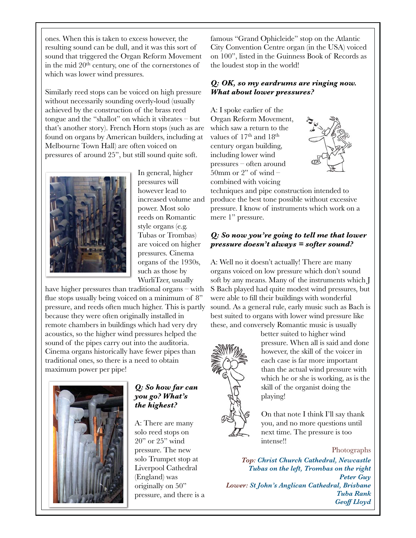ones. When this is taken to excess however, the resulting sound can be dull, and it was this sort of sound that triggered the Organ Reform Movement in the mid 20th century, one of the cornerstones of which was lower wind pressures.

Similarly reed stops can be voiced on high pressure without necessarily sounding overly-loud (usually achieved by the construction of the brass reed tongue and the "shallot" on which it vibrates – but that's another story). French Horn stops (such as are found on organs by American builders, including at Melbourne Town Hall) are often voiced on pressures of around 25", but still sound quite soft.



In general, higher pressures will however lead to increased volume and power. Most solo reeds on Romantic style organs (e.g. Tubas or Trombas) are voiced on higher pressures. Cinema organs of the 1930s, such as those by WurliTzer, usually

have higher pressures than traditional organs – with flue stops usually being voiced on a minimum of 8" pressure, and reeds often much higher. This is partly because they were often originally installed in remote chambers in buildings which had very dry acoustics, so the higher wind pressures helped the sound of the pipes carry out into the auditoria. Cinema organs historically have fewer pipes than traditional ones, so there is a need to obtain maximum power per pipe!



#### *Q: So how far can you go? What's the highest?*

A: There are many solo reed stops on 20" or 25" wind pressure. The new solo Trumpet stop at Liverpool Cathedral (England) was originally on 50" pressure, and there is a famous "Grand Ophicleide" stop on the Atlantic City Convention Centre organ (in the USA) voiced on 100", listed in the Guinness Book of Records as the loudest stop in the world!

#### *Q: OK, so my eardrums are ringing now. What about lower pressures?*

A: I spoke earlier of the Organ Reform Movement, which saw a return to the values of 17<sup>th</sup> and 18<sup>th</sup> century organ building, including lower wind pressures – often around 50mm or 2" of wind – combined with voicing



techniques and pipe construction intended to produce the best tone possible without excessive pressure. I know of instruments which work on a mere 1" pressure.

#### *Q: So now you're going to tell me that lower pressure doesn't always = softer sound?*

A: Well no it doesn't actually! There are many organs voiced on low pressure which don't sound soft by any means. Many of the instruments which J S Bach played had quite modest wind pressures, but were able to fill their buildings with wonderful sound. As a general rule, early music such as Bach is best suited to organs with lower wind pressure like these, and conversely Romantic music is usually



better suited to higher wind pressure. When all is said and done however, the skill of the voicer in each case is far more important than the actual wind pressure with which he or she is working, as is the skill of the organist doing the playing!

On that note I think I'll say thank you, and no more questions until next time. The pressure is too intense!!

Photographs

*Top: Christ Church Cathedral, Newcastle Tubas on the left, Trombas on the right Peter Guy Lower: St John's Anglican Cathedral, Brisbane Tuba Rank Geoff Lloyd*